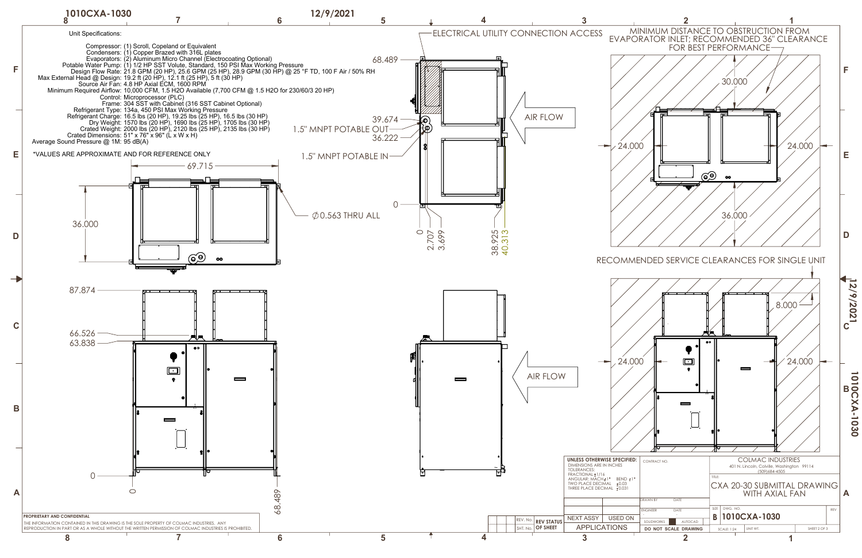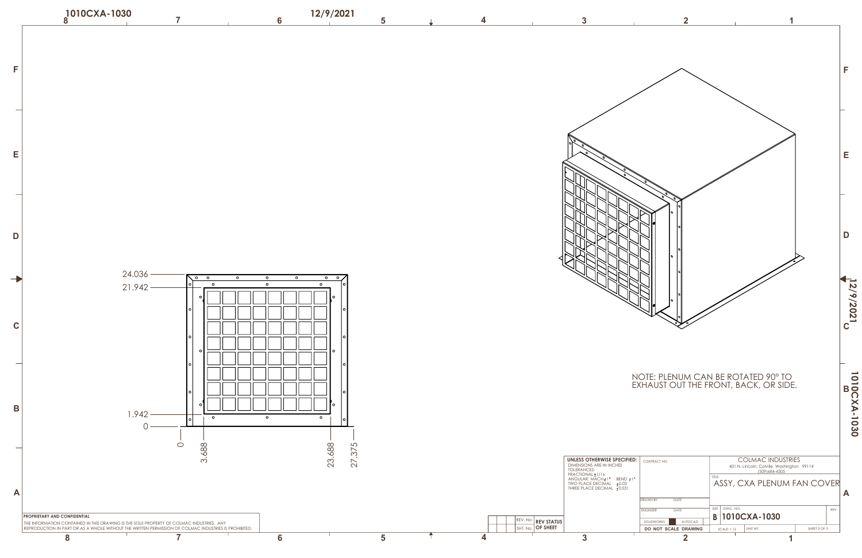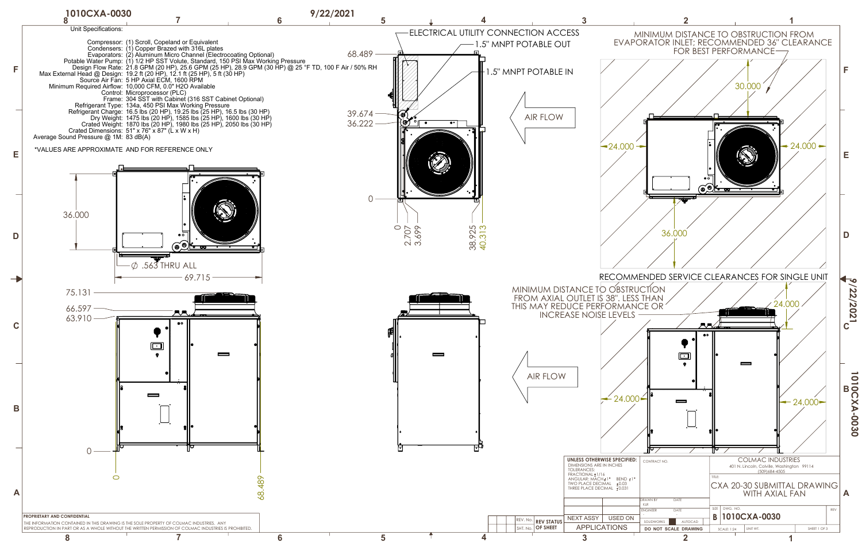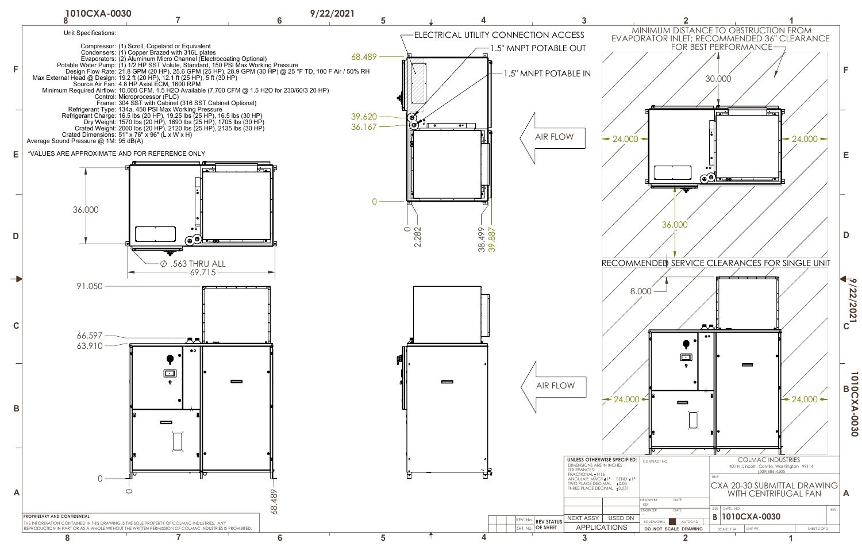